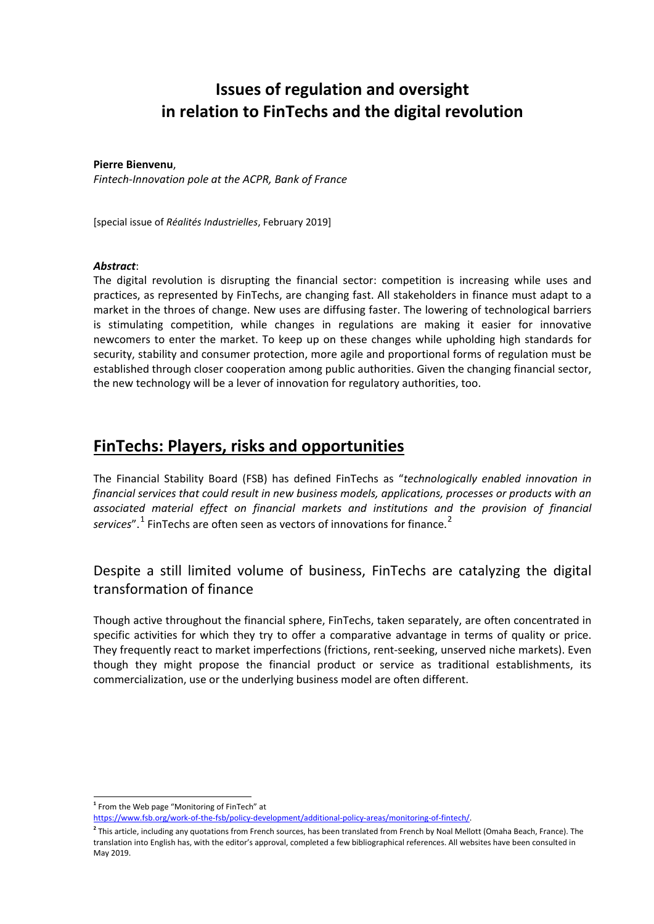# **Issues of regulation and oversight in relation to FinTechs and the digital revolution**

### **Pierre Bienvenu**,

*Fintech-Innovation pole at the ACPR, Bank of France*

[special issue of *Réalités Industrielles*, February 2019]

### *Abstract*:

-

The digital revolution is disrupting the financial sector: competition is increasing while uses and practices, as represented by FinTechs, are changing fast. All stakeholders in finance must adapt to a market in the throes of change. New uses are diffusing faster. The lowering of technological barriers is stimulating competition, while changes in regulations are making it easier for innovative newcomers to enter the market. To keep up on these changes while upholding high standards for security, stability and consumer protection, more agile and proportional forms of regulation must be established through closer cooperation among public authorities. Given the changing financial sector, the new technology will be a lever of innovation for regulatory authorities, too.

# **FinTechs: Players, risks and opportunities**

The Financial Stability Board (FSB) has defined FinTechs as "*technologically enabled innovation in financial services that could result in new business models, applications, processes or products with an associated material effect on financial markets and institutions and the provision of financial*  services".<sup>[1](#page-0-0)</sup> FinTechs are often seen as vectors of innovations for finance.<sup>[2](#page-0-1)</sup>

## Despite a still limited volume of business, FinTechs are catalyzing the digital transformation of finance

Though active throughout the financial sphere, FinTechs, taken separately, are often concentrated in specific activities for which they try to offer a comparative advantage in terms of quality or price. They frequently react to market imperfections (frictions, rent-seeking, unserved niche markets). Even though they might propose the financial product or service as traditional establishments, its commercialization, use or the underlying business model are often different.

<span id="page-0-0"></span>**<sup>1</sup>** From the Web page "Monitoring of FinTech" at [https://www.fsb.org/work-of-the-fsb/policy-development/additional-policy-areas/monitoring-of-fintech/.](https://www.fsb.org/work-of-the-fsb/policy-development/additional-policy-areas/monitoring-of-fintech/) 

<span id="page-0-1"></span>**<sup>2</sup>** This article, including any quotations from French sources, has been translated from French by Noal Mellott (Omaha Beach, France). The translation into English has, with the editor's approval, completed a few bibliographical references. All websites have been consulted in May 2019.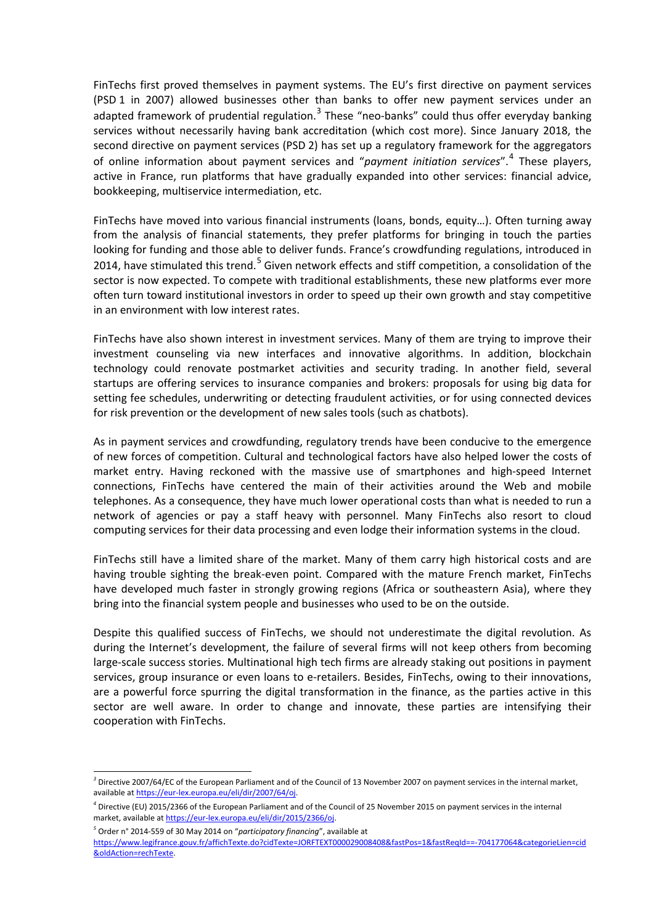FinTechs first proved themselves in payment systems. The EU's first directive on payment services (PSD 1 in 2007) allowed businesses other than banks to offer new payment services under an adapted framework of prudential regulation. $3$  These "neo-banks" could thus offer everyday banking services without necessarily having bank accreditation (which cost more). Since January 2018, the second directive on payment services (PSD 2) has set up a regulatory framework for the aggregators of online information about payment services and "*payment initiation services*".[4](#page-1-1) These players, active in France, run platforms that have gradually expanded into other services: financial advice, bookkeeping, multiservice intermediation, etc.

FinTechs have moved into various financial instruments (loans, bonds, equity…). Often turning away from the analysis of financial statements, they prefer platforms for bringing in touch the parties looking for funding and those able to deliver funds. France's crowdfunding regulations, introduced in 2014, have stimulated this trend.<sup>[5](#page-1-2)</sup> Given network effects and stiff competition, a consolidation of the sector is now expected. To compete with traditional establishments, these new platforms ever more often turn toward institutional investors in order to speed up their own growth and stay competitive in an environment with low interest rates.

FinTechs have also shown interest in investment services. Many of them are trying to improve their investment counseling via new interfaces and innovative algorithms. In addition, blockchain technology could renovate postmarket activities and security trading. In another field, several startups are offering services to insurance companies and brokers: proposals for using big data for setting fee schedules, underwriting or detecting fraudulent activities, or for using connected devices for risk prevention or the development of new sales tools (such as chatbots).

As in payment services and crowdfunding, regulatory trends have been conducive to the emergence of new forces of competition. Cultural and technological factors have also helped lower the costs of market entry. Having reckoned with the massive use of smartphones and high-speed Internet connections, FinTechs have centered the main of their activities around the Web and mobile telephones. As a consequence, they have much lower operational costs than what is needed to run a network of agencies or pay a staff heavy with personnel. Many FinTechs also resort to cloud computing services for their data processing and even lodge their information systems in the cloud.

FinTechs still have a limited share of the market. Many of them carry high historical costs and are having trouble sighting the break-even point. Compared with the mature French market, FinTechs have developed much faster in strongly growing regions (Africa or southeastern Asia), where they bring into the financial system people and businesses who used to be on the outside.

Despite this qualified success of FinTechs, we should not underestimate the digital revolution. As during the Internet's development, the failure of several firms will not keep others from becoming large-scale success stories. Multinational high tech firms are already staking out positions in payment services, group insurance or even loans to e-retailers. Besides, FinTechs, owing to their innovations, are a powerful force spurring the digital transformation in the finance, as the parties active in this sector are well aware. In order to change and innovate, these parties are intensifying their cooperation with FinTechs.

<span id="page-1-0"></span><sup>-</sup>*<sup>3</sup>* Directive 2007/64/EC of the European Parliament and of the Council of 13 November 2007 on payment services in the internal market, available a[t https://eur-lex.europa.eu/eli/dir/2007/64/oj.](https://eur-lex.europa.eu/eli/dir/2007/64/oj) 

<span id="page-1-1"></span>*<sup>4</sup>* Directive (EU) 2015/2366 of the European Parliament and of the Council of 25 November 2015 on payment services in the internal market, available at https://eur-lex.europa.eu/eli/dir/2015/2366/oi.

<span id="page-1-2"></span>*<sup>5</sup>* Order n° 2014-559 of 30 May 2014 on "*participatory financing*", available at

[https://www.legifrance.gouv.fr/affichTexte.do?cidTexte=JORFTEXT000029008408&fastPos=1&fastReqId==-704177064&categorieLien=cid](https://www.legifrance.gouv.fr/affichTexte.do?cidTexte=JORFTEXT000029008408&fastPos=1&fastReqId==-704177064&categorieLien=cid&oldAction=rechTexte) [&oldAction=rechTexte.](https://www.legifrance.gouv.fr/affichTexte.do?cidTexte=JORFTEXT000029008408&fastPos=1&fastReqId==-704177064&categorieLien=cid&oldAction=rechTexte)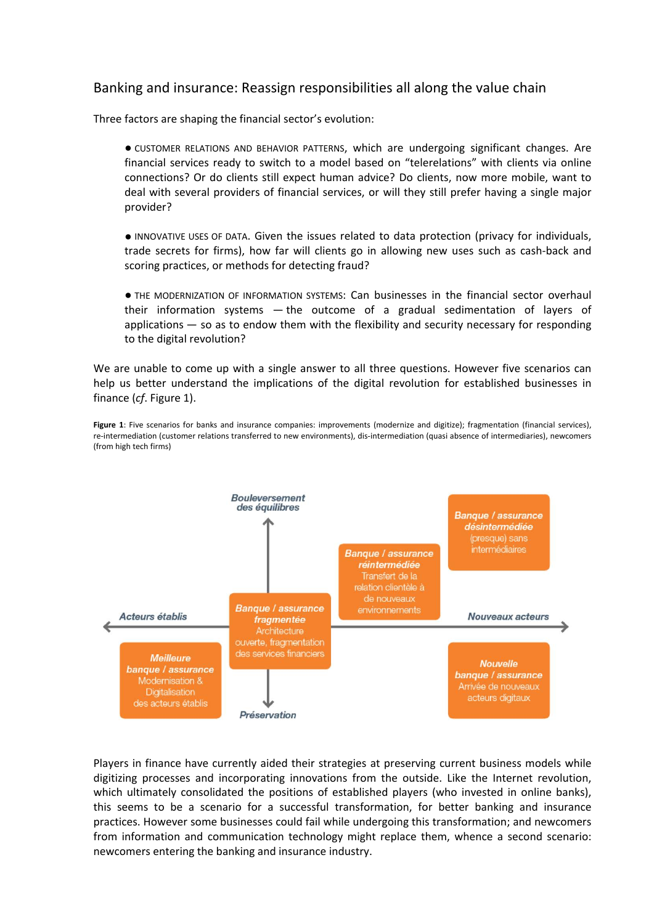### Banking and insurance: Reassign responsibilities all along the value chain

Three factors are shaping the financial sector's evolution:

● CUSTOMER RELATIONS AND BEHAVIOR PATTERNS, which are undergoing significant changes. Are financial services ready to switch to a model based on "telerelations" with clients via online connections? Or do clients still expect human advice? Do clients, now more mobile, want to deal with several providers of financial services, or will they still prefer having a single major provider?

● INNOVATIVE USES OF DATA. Given the issues related to data protection (privacy for individuals, trade secrets for firms), how far will clients go in allowing new uses such as cash-back and scoring practices, or methods for detecting fraud?

● THE MODERNIZATION OF INFORMATION SYSTEMS: Can businesses in the financial sector overhaul their information systems — the outcome of a gradual sedimentation of layers of applications — so as to endow them with the flexibility and security necessary for responding to the digital revolution?

We are unable to come up with a single answer to all three questions. However five scenarios can help us better understand the implications of the digital revolution for established businesses in finance (*cf*. Figure 1).

**Figure 1**: Five scenarios for banks and insurance companies: improvements (modernize and digitize); fragmentation (financial services), re-intermediation (customer relations transferred to new environments), dis-intermediation (quasi absence of intermediaries), newcomers (from high tech firms)



Players in finance have currently aided their strategies at preserving current business models while digitizing processes and incorporating innovations from the outside. Like the Internet revolution, which ultimately consolidated the positions of established players (who invested in online banks), this seems to be a scenario for a successful transformation, for better banking and insurance practices. However some businesses could fail while undergoing this transformation; and newcomers from information and communication technology might replace them, whence a second scenario: newcomers entering the banking and insurance industry.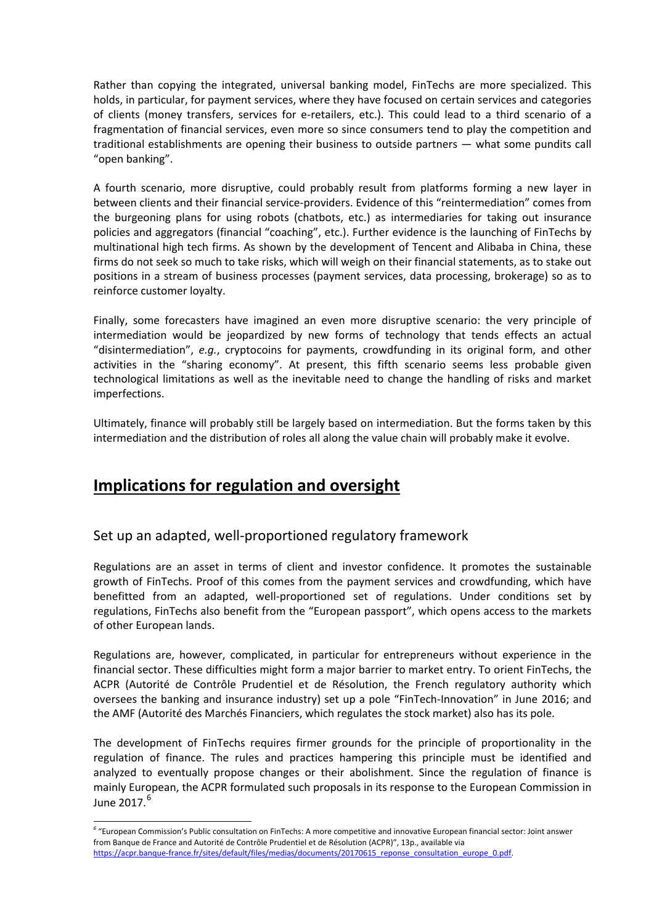Rather than copying the integrated, universal banking model, FinTechs are more specialized. This holds, in particular, for payment services, where they have focused on certain services and categories of clients (money transfers, services for e-retailers, etc.). This could lead to a third scenario of a fragmentation of financial services, even more so since consumers tend to play the competition and traditional establishments are opening their business to outside partners — what some pundits call "open banking".

A fourth scenario, more disruptive, could probably result from platforms forming a new layer in between clients and their financial service-providers. Evidence of this "reintermediation" comes from the burgeoning plans for using robots (chatbots, etc.) as intermediaries for taking out insurance policies and aggregators (financial "coaching", etc.). Further evidence is the launching of FinTechs by multinational high tech firms. As shown by the development of Tencent and Alibaba in China, these firms do not seek so much to take risks, which will weigh on their financial statements, as to stake out positions in a stream of business processes (payment services, data processing, brokerage) so as to reinforce customer loyalty.

Finally, some forecasters have imagined an even more disruptive scenario: the very principle of intermediation would be jeopardized by new forms of technology that tends effects an actual "disintermediation", *e.g.*, cryptocoins for payments, crowdfunding in its original form, and other activities in the "sharing economy". At present, this fifth scenario seems less probable given technological limitations as well as the inevitable need to change the handling of risks and market imperfections.

Ultimately, finance will probably still be largely based on intermediation. But the forms taken by this intermediation and the distribution of roles all along the value chain will probably make it evolve.

# **Implications for regulation and oversight**

-

Set up an adapted, well-proportioned regulatory framework

Regulations are an asset in terms of client and investor confidence. It promotes the sustainable growth of FinTechs. Proof of this comes from the payment services and crowdfunding, which have benefitted from an adapted, well-proportioned set of regulations. Under conditions set by regulations, FinTechs also benefit from the "European passport", which opens access to the markets of other European lands.

Regulations are, however, complicated, in particular for entrepreneurs without experience in the financial sector. These difficulties might form a major barrier to market entry. To orient FinTechs, the ACPR (Autorité de Contrôle Prudentiel et de Résolution, the French regulatory authority which oversees the banking and insurance industry) set up a pole "FinTech-Innovation" in June 2016; and the AMF (Autorité des Marchés Financiers, which regulates the stock market) also has its pole.

The development of FinTechs requires firmer grounds for the principle of proportionality in the regulation of finance. The rules and practices hampering this principle must be identified and analyzed to eventually propose changes or their abolishment. Since the regulation of finance is mainly European, the ACPR formulated such proposals in its response to the European Commission in June 2017.<sup>[6](#page-3-0)</sup>

<span id="page-3-0"></span>*<sup>6</sup>* "European Commission's Public consultation on FinTechs: A more competitive and innovative European financial sector: Joint answer from Banque de France and Autorité de Contrôle Prudentiel et de Résolution (ACPR)", 13p., available via https://acpr.banque-france.fr/sites/default/files/medias/documents/20170615\_reponse\_consultation\_europe\_0.pdf.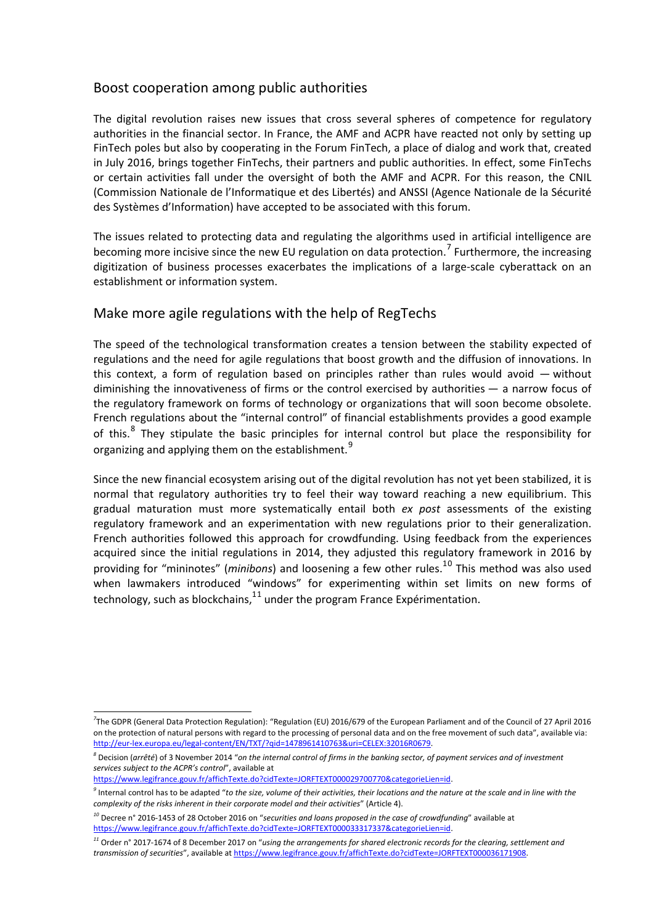## Boost cooperation among public authorities

The digital revolution raises new issues that cross several spheres of competence for regulatory authorities in the financial sector. In France, the AMF and ACPR have reacted not only by setting up FinTech poles but also by cooperating in the Forum FinTech, a place of dialog and work that, created in July 2016, brings together FinTechs, their partners and public authorities. In effect, some FinTechs or certain activities fall under the oversight of both the AMF and ACPR. For this reason, the CNIL (Commission Nationale de l'Informatique et des Libertés) and ANSSI (Agence Nationale de la Sécurité des Systèmes d'Information) have accepted to be associated with this forum.

The issues related to protecting data and regulating the algorithms used in artificial intelligence are becoming more incisive since the new EU regulation on data protection.<sup>[7](#page-4-0)</sup> Furthermore, the increasing digitization of business processes exacerbates the implications of a large-scale cyberattack on an establishment or information system.

## Make more agile regulations with the help of RegTechs

The speed of the technological transformation creates a tension between the stability expected of regulations and the need for agile regulations that boost growth and the diffusion of innovations. In this context, a form of regulation based on principles rather than rules would avoid — without diminishing the innovativeness of firms or the control exercised by authorities — a narrow focus of the regulatory framework on forms of technology or organizations that will soon become obsolete. French regulations about the "internal control" of financial establishments provides a good example of this. $8$  They stipulate the basic principles for internal control but place the responsibility for organizing and applying them on the establishment.<sup>[9](#page-4-2)</sup>

Since the new financial ecosystem arising out of the digital revolution has not yet been stabilized, it is normal that regulatory authorities try to feel their way toward reaching a new equilibrium. This gradual maturation must more systematically entail both *ex post* assessments of the existing regulatory framework and an experimentation with new regulations prior to their generalization. French authorities followed this approach for crowdfunding. Using feedback from the experiences acquired since the initial regulations in 2014, they adjusted this regulatory framework in 2016 by providing for "mininotes" (*minibons*) and loosening a few other rules.<sup>1[0](#page-4-3)</sup> This method was also used when lawmakers introduced "windows" for experimenting within set limits on new forms of technology, such as blockchains, $^{11}$  $^{11}$  $^{11}$  under the program France Expérimentation.

[https://www.legifrance.gouv.fr/affichTexte.do?cidTexte=JORFTEXT000029700770&categorieLien=id.](https://www.legifrance.gouv.fr/affichTexte.do?cidTexte=JORFTEXT000029700770&categorieLien=id) 

<span id="page-4-0"></span><sup>-</sup><sup>7</sup>The GDPR (General Data Protection Regulation): "Regulation (EU) 2016/679 of the European Parliament and of the Council of 27 April 2016 on the protection of natural persons with regard to the processing of personal data and on the free movement of such data", available via: [http://eur-lex.europa.eu/legal-content/EN/TXT/?qid=1478961410763&uri=CELEX:32016R0679.](http://eur-lex.europa.eu/legal-content/EN/TXT/?qid=1478961410763&uri=CELEX:32016R0679)

<span id="page-4-1"></span>*<sup>8</sup>* Decision (*arrêté*) of 3 November 2014 "*on the internal control of firms in the banking sector, of payment services and of investment services subject to the ACPR's control*", available at

<span id="page-4-2"></span>*<sup>9</sup>* Internal control has to be adapted "*to the size, volume of their activities, their locations and the nature at the scale and in line with the complexity of the risks inherent in their corporate model and their activities*" (Article 4).

<span id="page-4-3"></span>*<sup>10</sup>* Decree n° 2016-1453 of 28 October 2016 on "*securities and loans proposed in the case of crowdfunding*" available at [https://www.legifrance.gouv.fr/affichTexte.do?cidTexte=JORFTEXT000033317337&categorieLien=id.](https://www.legifrance.gouv.fr/affichTexte.do?cidTexte=JORFTEXT000033317337&categorieLien=id) 

<span id="page-4-4"></span>*<sup>11</sup>* Order n° 2017-1674 of 8 December 2017 on "*using the arrangements for shared electronic records for the clearing, settlement and transmission of securities*", available a[t https://www.legifrance.gouv.fr/affichTexte.do?cidTexte=JORFTEXT000036171908.](https://www.legifrance.gouv.fr/affichTexte.do?cidTexte=JORFTEXT000036171908)